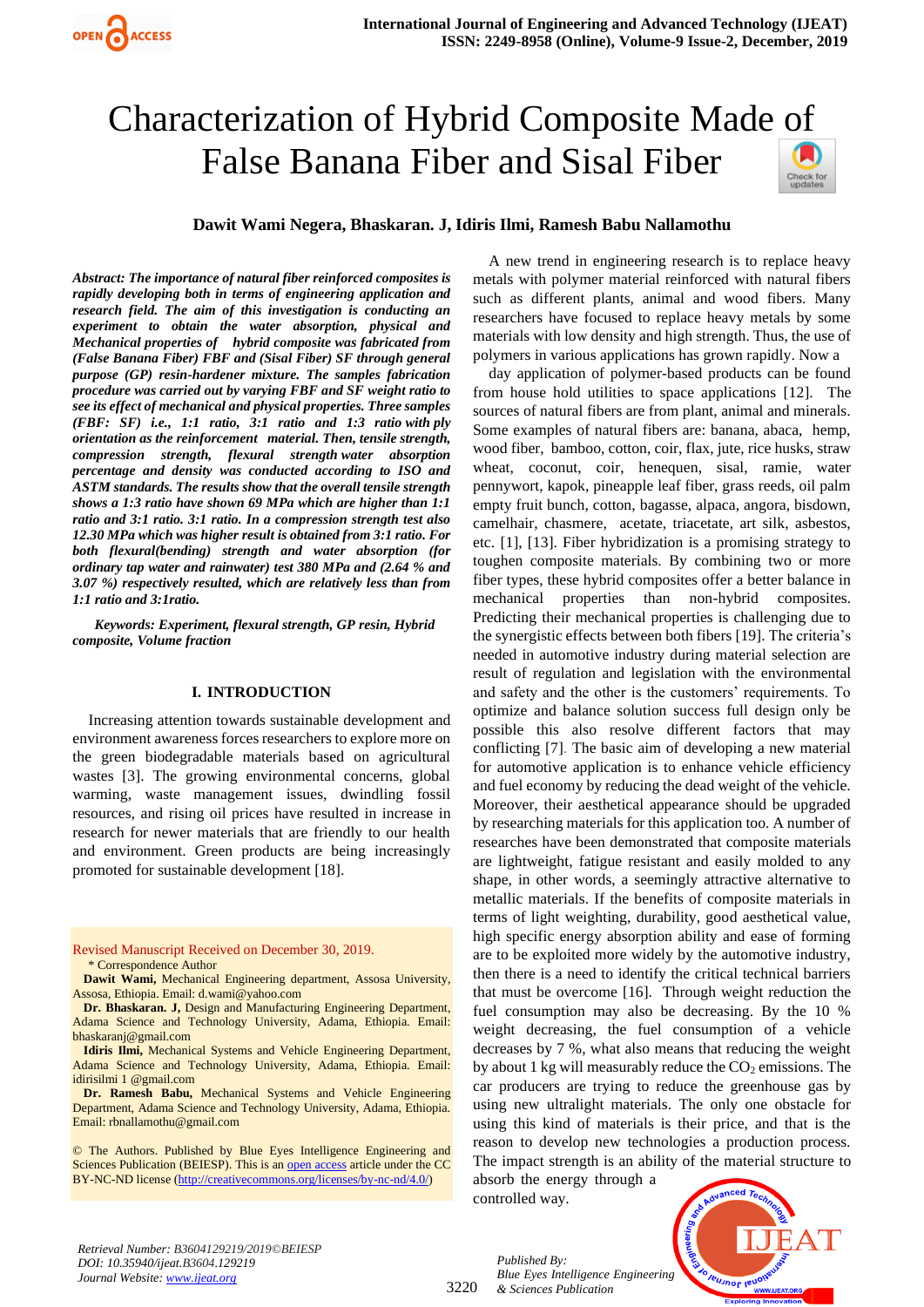# Characterization of Hybrid Composite Made [of](https://crossmark.crossref.org/dialog/?doi=10.35940/ijeat.B3604.129219&domain=www.ijeat.org)  False Banana Fiber and Sisal Fiber



# **Dawit Wami Negera, Bhaskaran. J, Idiris Ilmi, Ramesh Babu Nallamothu**

*Abstract: The importance of natural fiber reinforced composites is rapidly developing both in terms of engineering application and research field. The aim of this investigation is conducting an experiment to obtain the water absorption, physical and Mechanical properties of hybrid composite was fabricated from (False Banana Fiber) FBF and (Sisal Fiber) SF through general purpose (GP) resin-hardener mixture. The samples fabrication procedure was carried out by varying FBF and SF weight ratio to see its effect of mechanical and physical properties. Three samples (FBF: SF) i.e., 1:1 ratio, 3:1 ratio and 1:3 ratio with ply orientation as the reinforcement material. Then, tensile strength, compression strength, flexural strength water absorption percentage and density was conducted according to ISO and ASTM standards. The results show that the overall tensile strength shows a 1:3 ratio have shown 69 MPa which are higher than 1:1 ratio and 3:1 ratio. 3:1 ratio. In a compression strength test also 12.30 MPa which was higher result is obtained from 3:1 ratio. For both flexural(bending) strength and water absorption (for ordinary tap water and rainwater) test 380 MPa and (2.64 % and 3.07 %) respectively resulted, which are relatively less than from 1:1 ratio and 3:1ratio.*

*Keywords: Experiment, flexural strength, GP resin, Hybrid composite, Volume fraction*

#### **I. INTRODUCTION**

Increasing attention towards sustainable development and environment awareness forces researchers to explore more on the green biodegradable materials based on agricultural wastes [3]. The growing environmental concerns, global warming, waste management issues, dwindling fossil resources, and rising oil prices have resulted in increase in research for newer materials that are friendly to our health and environment. Green products are being increasingly promoted for sustainable development [18].

Revised Manuscript Received on December 30, 2019. \* Correspondence Author

**Dawit Wami,** Mechanical Engineering department, Assosa University, Assosa, Ethiopia. Email: d.wami@yahoo.com

**Dr. Bhaskaran. J,** Design and Manufacturing Engineering Department, Adama Science and Technology University, Adama, Ethiopia. Email: bhaskaranj@gmail.com

**Idiris Ilmi,** Mechanical Systems and Vehicle Engineering Department, Adama Science and Technology University, Adama, Ethiopia. Email: idirisilmi 1 @gmail.com

**Dr. Ramesh Babu,** Mechanical Systems and Vehicle Engineering Department, Adama Science and Technology University, Adama, Ethiopia. Email: rbnallamothu@gmail.com

© The Authors. Published by Blue Eyes Intelligence Engineering and Sciences Publication (BEIESP). This is a[n open access](https://www.openaccess.nl/en/open-publications) article under the CC BY-NC-ND license [\(http://creativecommons.org/licenses/by-nc-nd/4.0/\)](http://creativecommons.org/licenses/by-nc-nd/4.0/)

A new trend in engineering research is to replace heavy metals with polymer material reinforced with natural fibers such as different plants, animal and wood fibers. Many researchers have focused to replace heavy metals by some materials with low density and high strength. Thus, the use of polymers in various applications has grown rapidly. Now a

day application of polymer-based products can be found from house hold utilities to space applications [12]. The sources of natural fibers are from plant, animal and minerals. Some examples of natural fibers are: banana, abaca, hemp, wood fiber, bamboo, cotton, coir, flax, jute, rice husks, straw wheat, coconut, coir, henequen, sisal, ramie, water pennywort, kapok, pineapple leaf fiber, grass reeds, oil palm empty fruit bunch, cotton, bagasse, alpaca, angora, bisdown, camelhair, chasmere, acetate, triacetate, art silk, asbestos, etc. [1], [13]. Fiber hybridization is a promising strategy to toughen composite materials. By combining two or more fiber types, these hybrid composites offer a better balance in mechanical properties than non-hybrid composites. Predicting their mechanical properties is challenging due to the synergistic effects between both fibers [19]. The criteria's needed in automotive industry during material selection are result of regulation and legislation with the environmental and safety and the other is the customers' requirements. To optimize and balance solution success full design only be possible this also resolve different factors that may conflicting [7]. The basic aim of developing a new material for automotive application is to enhance vehicle efficiency and fuel economy by reducing the dead weight of the vehicle. Moreover, their aesthetical appearance should be upgraded by researching materials for this application too. A number of researches have been demonstrated that composite materials are lightweight, fatigue resistant and easily molded to any shape, in other words, a seemingly attractive alternative to metallic materials. If the benefits of composite materials in terms of light weighting, durability, good aesthetical value, high specific energy absorption ability and ease of forming are to be exploited more widely by the automotive industry, then there is a need to identify the critical technical barriers that must be overcome [16]. Through weight reduction the fuel consumption may also be decreasing. By the 10 % weight decreasing, the fuel consumption of a vehicle decreases by 7 %, what also means that reducing the weight by about 1 kg will measurably reduce the  $CO<sub>2</sub>$  emissions. The car producers are trying to reduce the greenhouse gas by using new ultralight materials. The only one obstacle for using this kind of materials is their price, and that is the reason to develop new technologies a production process. The impact strength is an ability of the material structure to

absorb the energy through a controlled way.

*Published By:*

*& Sciences Publication* 



*Retrieval Number: B3604129219/2019©BEIESP DOI: 10.35940/ijeat.B3604.129219 Journal Website[: www.ijeat.org](http://www.ijeat.org/)*

3220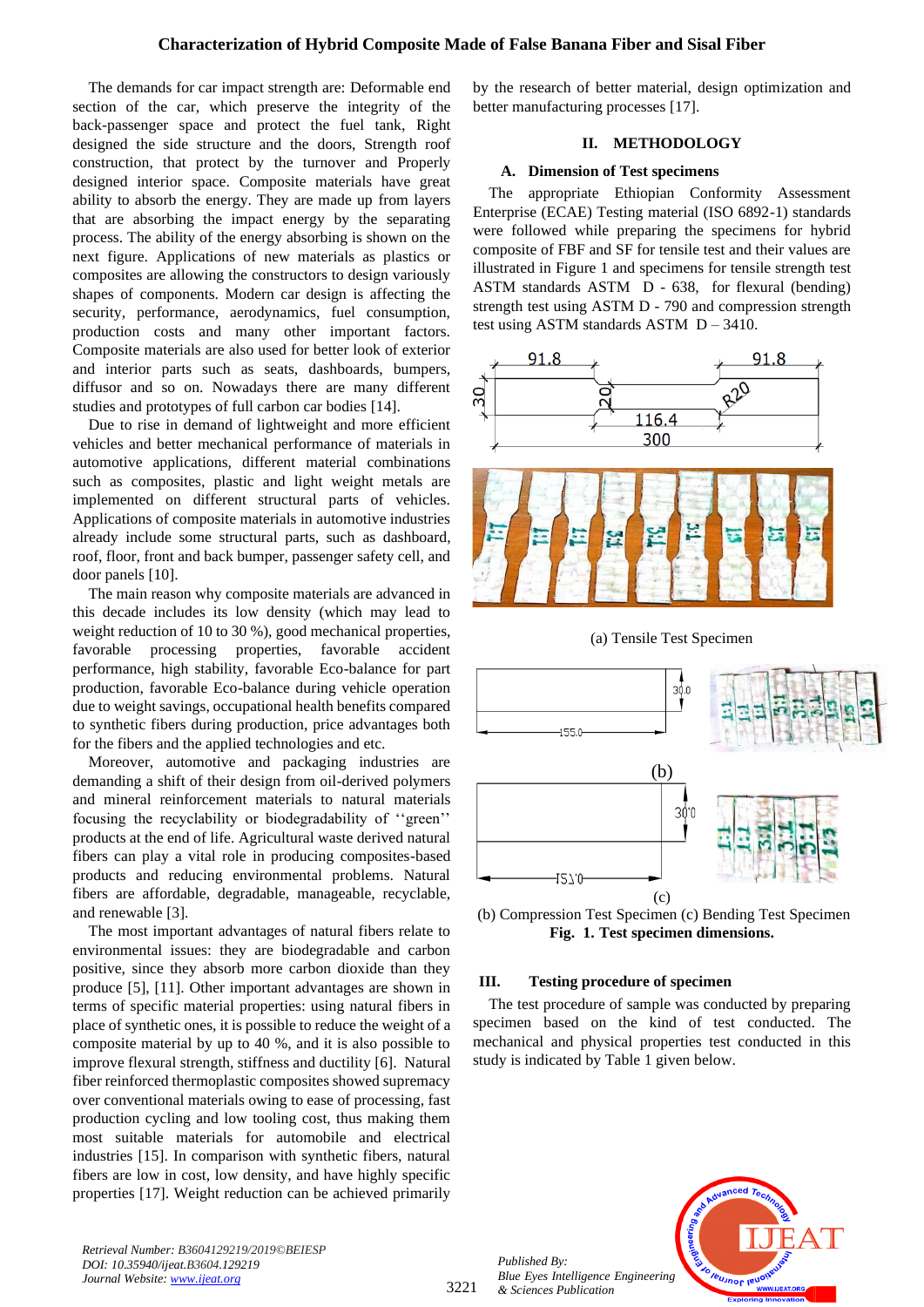## **Characterization of Hybrid Composite Made of False Banana Fiber and Sisal Fiber**

The demands for car impact strength are: Deformable end section of the car, which preserve the integrity of the back-passenger space and protect the fuel tank, Right designed the side structure and the doors, Strength roof construction, that protect by the turnover and Properly designed interior space. Composite materials have great ability to absorb the energy. They are made up from layers that are absorbing the impact energy by the separating process. The ability of the energy absorbing is shown on the next figure. Applications of new materials as plastics or composites are allowing the constructors to design variously shapes of components. Modern car design is affecting the security, performance, aerodynamics, fuel consumption, production costs and many other important factors. Composite materials are also used for better look of exterior and interior parts such as seats, dashboards, bumpers, diffusor and so on. Nowadays there are many different studies and prototypes of full carbon car bodies [14].

Due to rise in demand of lightweight and more efficient vehicles and better mechanical performance of materials in automotive applications, different material combinations such as composites, plastic and light weight metals are implemented on different structural parts of vehicles. Applications of composite materials in automotive industries already include some structural parts, such as dashboard, roof, floor, front and back bumper, passenger safety cell, and door panels [10].

The main reason why composite materials are advanced in this decade includes its low density (which may lead to weight reduction of 10 to 30 %), good mechanical properties, favorable processing properties, favorable accident performance, high stability, favorable Eco-balance for part production, favorable Eco-balance during vehicle operation due to weight savings, occupational health benefits compared to synthetic fibers during production, price advantages both for the fibers and the applied technologies and etc.

Moreover, automotive and packaging industries are demanding a shift of their design from oil-derived polymers and mineral reinforcement materials to natural materials focusing the recyclability or biodegradability of ''green'' products at the end of life. Agricultural waste derived natural fibers can play a vital role in producing composites-based products and reducing environmental problems. Natural fibers are affordable, degradable, manageable, recyclable, and renewable [3].

The most important advantages of natural fibers relate to environmental issues: they are biodegradable and carbon positive, since they absorb more carbon dioxide than they produce [5], [11]. Other important advantages are shown in terms of specific material properties: using natural fibers in place of synthetic ones, it is possible to reduce the weight of a composite material by up to 40 %, and it is also possible to improve flexural strength, stiffness and ductility [6]. Natural fiber reinforced thermoplastic composites showed supremacy over conventional materials owing to ease of processing, fast production cycling and low tooling cost, thus making them most suitable materials for automobile and electrical industries [15]. In comparison with synthetic fibers, natural fibers are low in cost, low density, and have highly specific properties [17]. Weight reduction can be achieved primarily by the research of better material, design optimization and better manufacturing processes [17].

#### **II. METHODOLOGY**

#### **A. Dimension of Test specimens**

The appropriate Ethiopian Conformity Assessment Enterprise (ECAE) Testing material (ISO 6892-1) standards were followed while preparing the specimens for hybrid composite of FBF and SF for tensile test and their values are illustrated in Figure 1 and specimens for tensile strength test ASTM standards ASTM D - 638, for flexural (bending) strength test using ASTM D - 790 and compression strength test using ASTM standards ASTM D – 3410.



(a) Tensile Test Specimen



(b) Compression Test Specimen (c) Bending Test Specimen **Fig. 1. Test specimen dimensions.**

#### **III. Testing procedure of specimen**

The test procedure of sample was conducted by preparing specimen based on the kind of test conducted. The mechanical and physical properties test conducted in this study is indicated by Table 1 given below.



*Retrieval Number: B3604129219/2019©BEIESP DOI: 10.35940/ijeat.B3604.129219 Journal Website: [www.ijeat.org](http://www.ijeat.org/)*

3221

*Published By:*

*& Sciences Publication*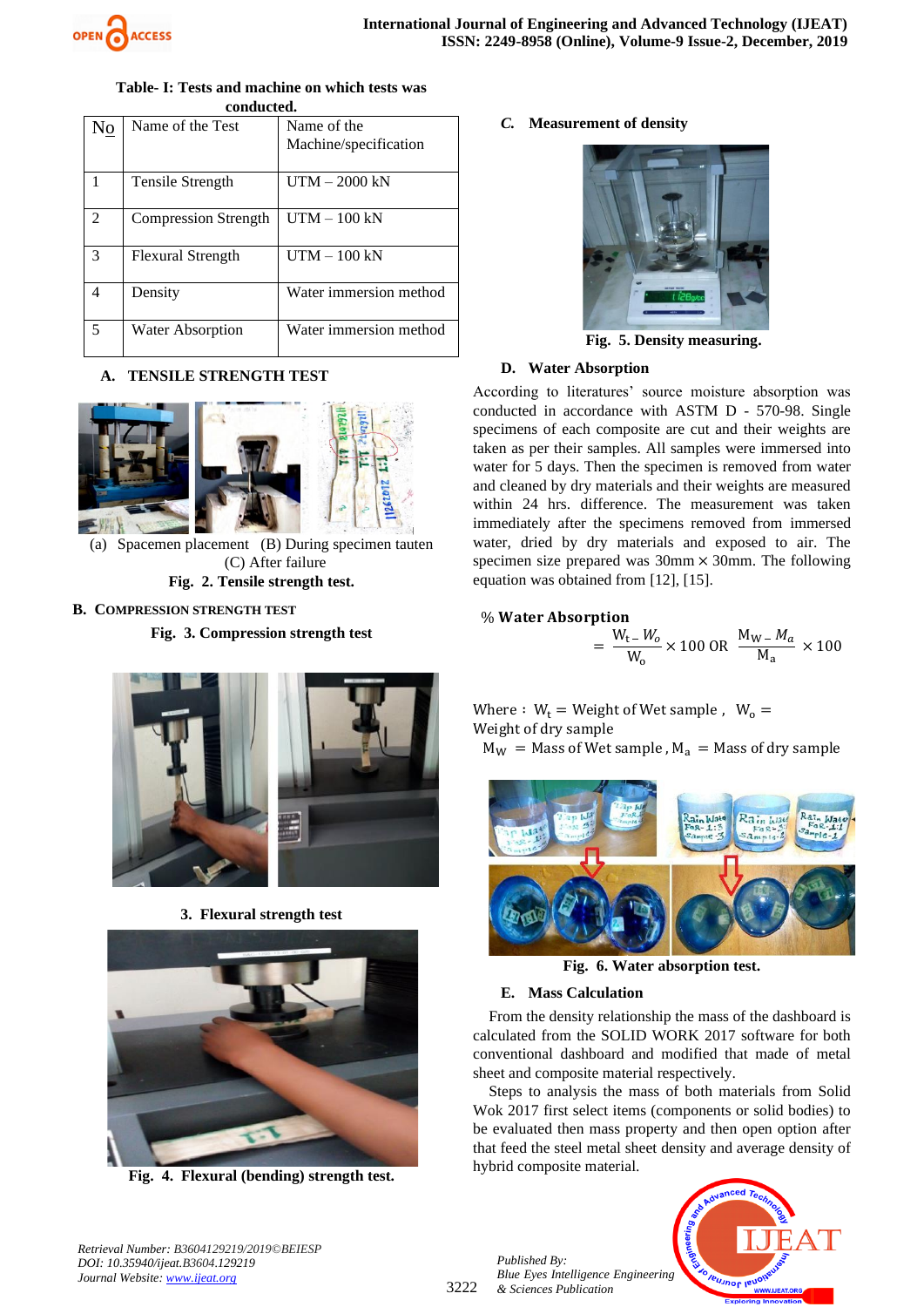

| conqueted.                  |                          |                        |  |  |  |  |
|-----------------------------|--------------------------|------------------------|--|--|--|--|
| $N_{0}$                     | Name of the Test         | Name of the            |  |  |  |  |
|                             |                          | Machine/specification  |  |  |  |  |
|                             |                          |                        |  |  |  |  |
| 1                           | Tensile Strength         | $UTM - 2000$ kN        |  |  |  |  |
|                             |                          |                        |  |  |  |  |
| $\mathcal{D}_{\mathcal{L}}$ | Compression Strength     | $UTM - 100 kN$         |  |  |  |  |
|                             |                          |                        |  |  |  |  |
| 3                           | <b>Flexural Strength</b> | $UTM - 100$ kN         |  |  |  |  |
|                             |                          |                        |  |  |  |  |
| 4                           | Density                  | Water immersion method |  |  |  |  |
|                             |                          |                        |  |  |  |  |
| 5                           | <b>Water Absorption</b>  | Water immersion method |  |  |  |  |
|                             |                          |                        |  |  |  |  |

#### **Table- I: Tests and machine on which tests was conducted.**

# **A. TENSILE STRENGTH TEST**



(a) Spacemen placement (B) During specimen tauten (C) After failure **Fig. 2. Tensile strength test.**

## **B. COMPRESSION STRENGTH TEST**

**Fig. 3. Compression strength test**



**3. Flexural strength test** 



**Fig. 4. Flexural (bending) strength test.**

# *C.* **Measurement of density**



 **Fig. 5. Density measuring.**

# **D. Water Absorption**

According to literatures' source moisture absorption was conducted in accordance with ASTM D - 570-98. Single specimens of each composite are cut and their weights are taken as per their samples. All samples were immersed into water for 5 days. Then the specimen is removed from water and cleaned by dry materials and their weights are measured within 24 hrs. difference. The measurement was taken immediately after the specimens removed from immersed water, dried by dry materials and exposed to air. The specimen size prepared was  $30 \text{mm} \times 30 \text{mm}$ . The following equation was obtained from [12], [15].

# % Water Absorption

$$
= \frac{W_{t} - W_{o}}{W_{o}} \times 100 \text{ OR } \frac{M_{W} - M_{a}}{M_{a}} \times 100
$$

Where :  $W_t = Weight of Wet sample$ ,  $W_0 =$ Weight of dry sample  $M_W$  = Mass of Wet sample,  $M_a$  = Mass of dry sample



**Fig. 6. Water absorption test.**

# **E. Mass Calculation**

From the density relationship the mass of the dashboard is calculated from the SOLID WORK 2017 software for both conventional dashboard and modified that made of metal sheet and composite material respectively.

Steps to analysis the mass of both materials from Solid Wok 2017 first select items (components or solid bodies) to be evaluated then mass property and then open option after that feed the steel metal sheet density and average density of hybrid composite material.



*Retrieval Number: B3604129219/2019©BEIESP DOI: 10.35940/ijeat.B3604.129219 Journal Website[: www.ijeat.org](http://www.ijeat.org/)*

3222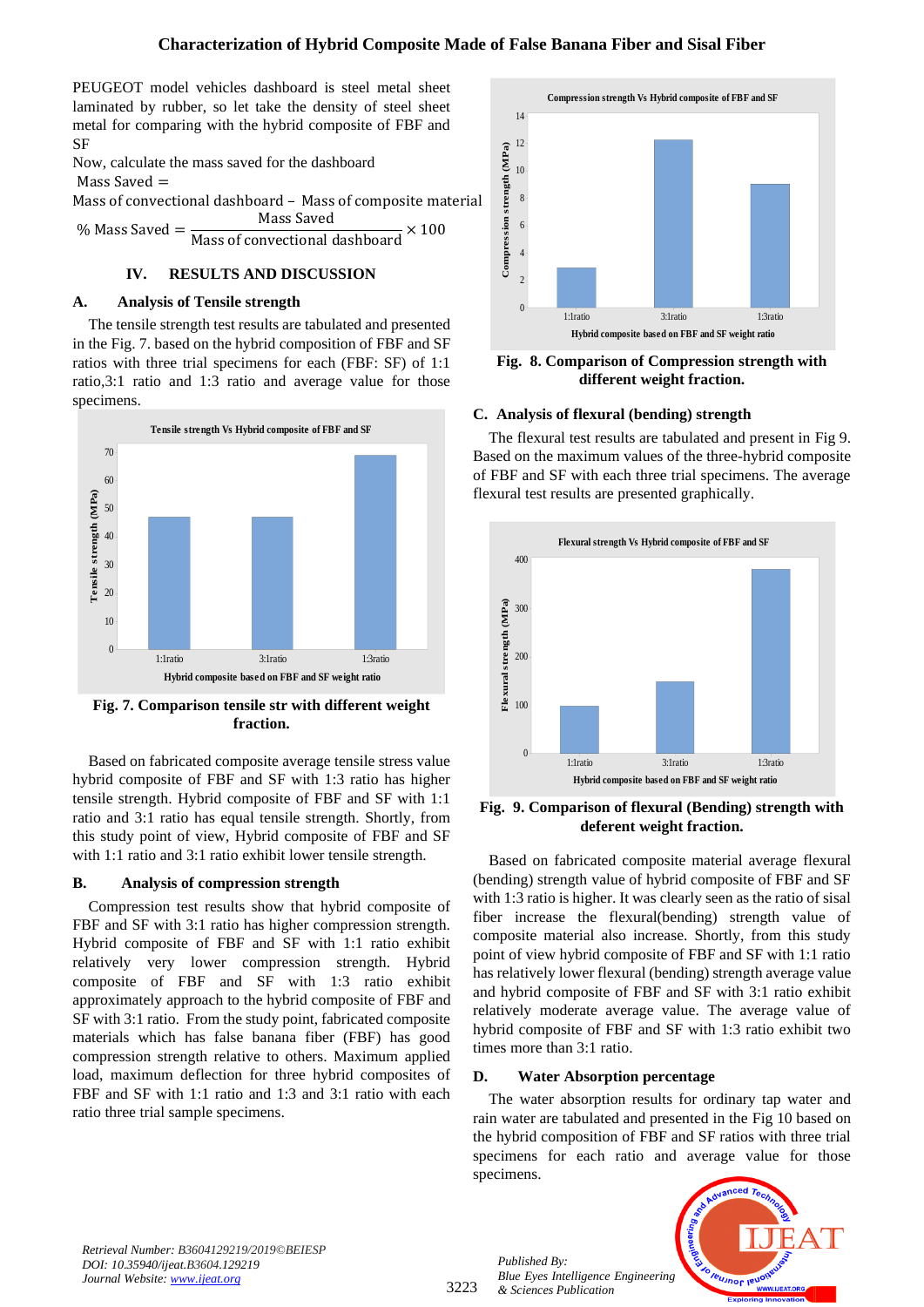PEUGEOT model vehicles dashboard is steel metal sheet laminated by rubber, so let take the density of steel sheet metal for comparing with the hybrid composite of FBF and SF

Now, calculate the mass saved for the dashboard Mass Saved =

Mass of convectional dashboard – Mass of composite material

% Mass Saved = Mass Saved Mass of convectional dashboard  $\times$  100

# **IV. RESULTS AND DISCUSSION**

# **A. Analysis of Tensile strength**

The tensile strength test results are tabulated and presented in the Fig. 7. based on the hybrid composition of FBF and SF ratios with three trial specimens for each (FBF: SF) of 1:1 ratio,3:1 ratio and 1:3 ratio and average value for those specimens.



**Fig. 7. Comparison tensile str with different weight fraction.**

Based on fabricated composite average tensile stress value hybrid composite of FBF and SF with 1:3 ratio has higher tensile strength. Hybrid composite of FBF and SF with 1:1 ratio and 3:1 ratio has equal tensile strength. Shortly, from this study point of view, Hybrid composite of FBF and SF with 1:1 ratio and 3:1 ratio exhibit lower tensile strength.

# **B. Analysis of compression strength**

Compression test results show that hybrid composite of FBF and SF with 3:1 ratio has higher compression strength. Hybrid composite of FBF and SF with 1:1 ratio exhibit relatively very lower compression strength. Hybrid composite of FBF and SF with 1:3 ratio exhibit approximately approach to the hybrid composite of FBF and SF with 3:1 ratio. From the study point, fabricated composite materials which has false banana fiber (FBF) has good compression strength relative to others. Maximum applied load, maximum deflection for three hybrid composites of FBF and SF with 1:1 ratio and 1:3 and 3:1 ratio with each ratio three trial sample specimens.



**Fig. 8. Comparison of Compression strength with different weight fraction.**

# **C. Analysis of flexural (bending) strength**

The flexural test results are tabulated and present in Fig 9. Based on the maximum values of the three-hybrid composite of FBF and SF with each three trial specimens. The average flexural test results are presented graphically.



**Fig. 9. Comparison of flexural (Bending) strength with deferent weight fraction.**

Based on fabricated composite material average flexural (bending) strength value of hybrid composite of FBF and SF with 1:3 ratio is higher. It was clearly seen as the ratio of sisal fiber increase the flexural(bending) strength value of composite material also increase. Shortly, from this study point of view hybrid composite of FBF and SF with 1:1 ratio has relatively lower flexural (bending) strength average value and hybrid composite of FBF and SF with 3:1 ratio exhibit relatively moderate average value. The average value of hybrid composite of FBF and SF with 1:3 ratio exhibit two times more than 3:1 ratio.

# **D. Water Absorption percentage**

The water absorption results for ordinary tap water and rain water are tabulated and presented in the Fig 10 based on the hybrid composition of FBF and SF ratios with three trial specimens for each ratio and average value for those specimens.



*Retrieval Number: B3604129219/2019©BEIESP DOI: 10.35940/ijeat.B3604.129219 Journal Website: [www.ijeat.org](http://www.ijeat.org/)*

3223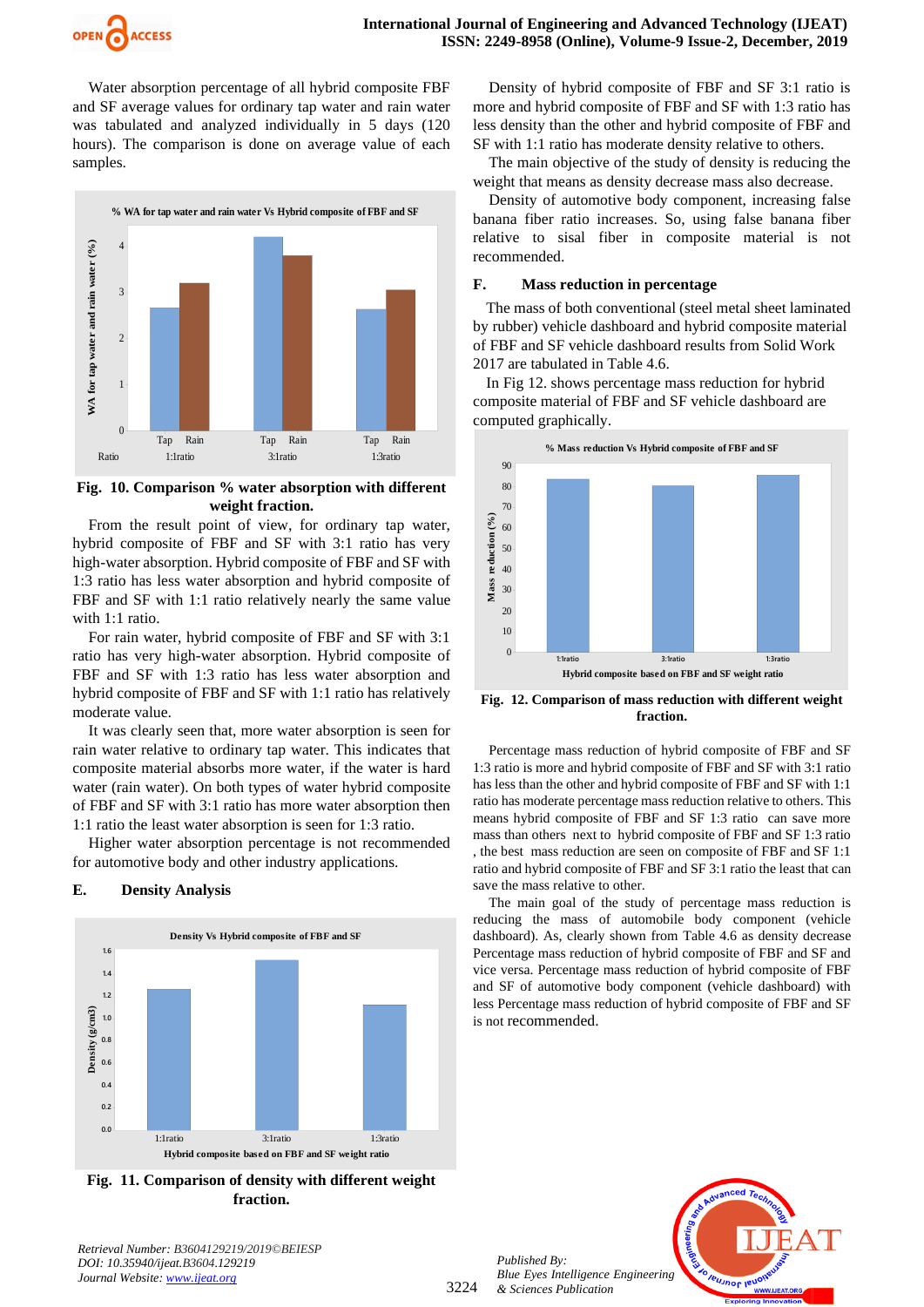

Water absorption percentage of all hybrid composite FBF and SF average values for ordinary tap water and rain water was tabulated and analyzed individually in 5 days (120 hours). The comparison is done on average value of each samples.



**Fig. 10. Comparison % water absorption with different weight fraction.**

From the result point of view, for ordinary tap water, hybrid composite of FBF and SF with 3:1 ratio has very high-water absorption. Hybrid composite of FBF and SF with 1:3 ratio has less water absorption and hybrid composite of FBF and SF with 1:1 ratio relatively nearly the same value with 1:1 ratio.

For rain water, hybrid composite of FBF and SF with 3:1 ratio has very high-water absorption. Hybrid composite of FBF and SF with 1:3 ratio has less water absorption and hybrid composite of FBF and SF with 1:1 ratio has relatively moderate value.

It was clearly seen that, more water absorption is seen for rain water relative to ordinary tap water. This indicates that composite material absorbs more water, if the water is hard water (rain water). On both types of water hybrid composite of FBF and SF with 3:1 ratio has more water absorption then 1:1 ratio the least water absorption is seen for 1:3 ratio.

Higher water absorption percentage is not recommended for automotive body and other industry applications.

#### **E. Density Analysis**



**Fig. 11. Comparison of density with different weight fraction.**

*Retrieval Number: B3604129219/2019©BEIESP DOI: 10.35940/ijeat.B3604.129219 Journal Website[: www.ijeat.org](http://www.ijeat.org/)*

Density of hybrid composite of FBF and SF 3:1 ratio is more and hybrid composite of FBF and SF with 1:3 ratio has less density than the other and hybrid composite of FBF and SF with 1:1 ratio has moderate density relative to others.

The main objective of the study of density is reducing the weight that means as density decrease mass also decrease.

Density of automotive body component, increasing false banana fiber ratio increases. So, using false banana fiber relative to sisal fiber in composite material is not recommended.

#### **F. Mass reduction in percentage**

The mass of both conventional (steel metal sheet laminated by rubber) vehicle dashboard and hybrid composite material of FBF and SF vehicle dashboard results from Solid Work 2017 are tabulated in Table 4.6.

In Fig 12. shows percentage mass reduction for hybrid composite material of FBF and SF vehicle dashboard are computed graphically.



**Fig. 12. Comparison of mass reduction with different weight fraction.**

Percentage mass reduction of hybrid composite of FBF and SF 1:3 ratio is more and hybrid composite of FBF and SF with 3:1 ratio has less than the other and hybrid composite of FBF and SF with 1:1 ratio has moderate percentage mass reduction relative to others. This means hybrid composite of FBF and SF 1:3 ratio can save more mass than others next to hybrid composite of FBF and SF 1:3 ratio , the best mass reduction are seen on composite of FBF and SF 1:1 ratio and hybrid composite of FBF and SF 3:1 ratio the least that can save the mass relative to other.

The main goal of the study of percentage mass reduction is reducing the mass of automobile body component (vehicle dashboard). As, clearly shown from Table 4.6 as density decrease Percentage mass reduction of hybrid composite of FBF and SF and vice versa. Percentage mass reduction of hybrid composite of FBF and SF of automotive body component (vehicle dashboard) with less Percentage mass reduction of hybrid composite of FBF and SF is not recommended.

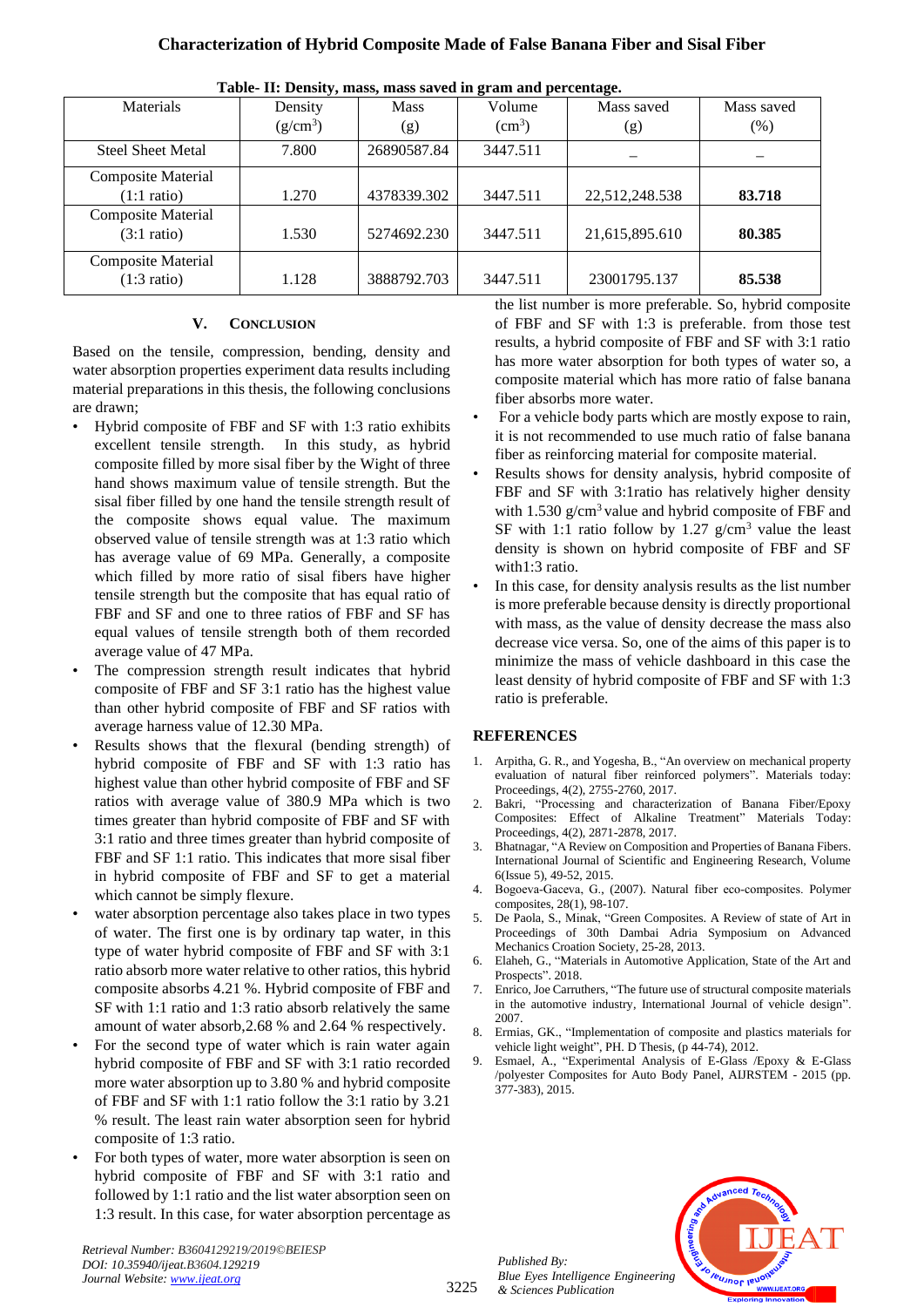# **Characterization of Hybrid Composite Made of False Banana Fiber and Sisal Fiber**

| Tuote Tri Denory, maoo, maoo on tea in gram and percentage. |            |             |                    |                |            |  |  |  |
|-------------------------------------------------------------|------------|-------------|--------------------|----------------|------------|--|--|--|
| Materials                                                   | Density    | <b>Mass</b> | Volume             | Mass saved     | Mass saved |  |  |  |
|                                                             | $(g/cm^3)$ | (g)         | (cm <sup>3</sup> ) | (g)            | (% )       |  |  |  |
| <b>Steel Sheet Metal</b>                                    | 7.800      | 26890587.84 | 3447.511           |                |            |  |  |  |
| <b>Composite Material</b>                                   |            |             |                    |                |            |  |  |  |
| $(1:1 \text{ ratio})$                                       | 1.270      | 4378339.302 | 3447.511           | 22,512,248.538 | 83.718     |  |  |  |
| <b>Composite Material</b>                                   |            |             |                    |                |            |  |  |  |
| $(3:1 \text{ ratio})$                                       | 1.530      | 5274692.230 | 3447.511           | 21,615,895.610 | 80.385     |  |  |  |
| <b>Composite Material</b>                                   |            |             |                    |                |            |  |  |  |
| $(1:3 \text{ ratio})$                                       | 1.128      | 3888792.703 | 3447.511           | 23001795.137   | 85.538     |  |  |  |

**Table- II: Density, mass, mass saved in gram and percentage.**

## **V. CONCLUSION**

Based on the tensile, compression, bending, density and water absorption properties experiment data results including material preparations in this thesis, the following conclusions are drawn;

- Hybrid composite of FBF and SF with 1:3 ratio exhibits excellent tensile strength. In this study, as hybrid composite filled by more sisal fiber by the Wight of three hand shows maximum value of tensile strength. But the sisal fiber filled by one hand the tensile strength result of the composite shows equal value. The maximum observed value of tensile strength was at 1:3 ratio which has average value of 69 MPa. Generally, a composite which filled by more ratio of sisal fibers have higher tensile strength but the composite that has equal ratio of FBF and SF and one to three ratios of FBF and SF has equal values of tensile strength both of them recorded average value of 47 MPa.
- The compression strength result indicates that hybrid composite of FBF and SF 3:1 ratio has the highest value than other hybrid composite of FBF and SF ratios with average harness value of 12.30 MPa.
- Results shows that the flexural (bending strength) of hybrid composite of FBF and SF with 1:3 ratio has highest value than other hybrid composite of FBF and SF ratios with average value of 380.9 MPa which is two times greater than hybrid composite of FBF and SF with 3:1 ratio and three times greater than hybrid composite of FBF and SF 1:1 ratio. This indicates that more sisal fiber in hybrid composite of FBF and SF to get a material which cannot be simply flexure.
- water absorption percentage also takes place in two types of water. The first one is by ordinary tap water, in this type of water hybrid composite of FBF and SF with 3:1 ratio absorb more water relative to other ratios, this hybrid composite absorbs 4.21 %. Hybrid composite of FBF and SF with 1:1 ratio and 1:3 ratio absorb relatively the same amount of water absorb,2.68 % and 2.64 % respectively.
- For the second type of water which is rain water again hybrid composite of FBF and SF with 3:1 ratio recorded more water absorption up to 3.80 % and hybrid composite of FBF and SF with 1:1 ratio follow the 3:1 ratio by 3.21 % result. The least rain water absorption seen for hybrid composite of 1:3 ratio.
- For both types of water, more water absorption is seen on hybrid composite of FBF and SF with 3:1 ratio and followed by 1:1 ratio and the list water absorption seen on 1:3 result. In this case, for water absorption percentage as

*Retrieval Number: B3604129219/2019©BEIESP DOI: 10.35940/ijeat.B3604.129219 Journal Website: [www.ijeat.org](http://www.ijeat.org/)*

the list number is more preferable. So, hybrid composite of FBF and SF with 1:3 is preferable. from those test results, a hybrid composite of FBF and SF with 3:1 ratio has more water absorption for both types of water so, a composite material which has more ratio of false banana fiber absorbs more water.

- For a vehicle body parts which are mostly expose to rain, it is not recommended to use much ratio of false banana fiber as reinforcing material for composite material.
- Results shows for density analysis, hybrid composite of FBF and SF with 3:1ratio has relatively higher density with  $1.530$  g/cm<sup>3</sup> value and hybrid composite of FBF and SF with 1:1 ratio follow by 1.27  $g/cm<sup>3</sup>$  value the least density is shown on hybrid composite of FBF and SF with1:3 ratio.
- In this case, for density analysis results as the list number is more preferable because density is directly proportional with mass, as the value of density decrease the mass also decrease vice versa. So, one of the aims of this paper is to minimize the mass of vehicle dashboard in this case the least density of hybrid composite of FBF and SF with 1:3 ratio is preferable.

# **REFERENCES**

- 1. Arpitha, G. R., and Yogesha, B., "An overview on mechanical property evaluation of natural fiber reinforced polymers". Materials today: Proceedings, 4(2), 2755-2760, 2017.
- 2. Bakri, "Processing and characterization of Banana Fiber/Epoxy Composites: Effect of Alkaline Treatment" Materials Today: Proceedings, 4(2), 2871-2878, 2017.
- 3. Bhatnagar, "A Review on Composition and Properties of Banana Fibers. International Journal of Scientific and Engineering Research, Volume 6(Issue 5), 49-52, 2015.
- 4. Bogoeva-Gaceva, G., (2007). Natural fiber eco-composites. Polymer composites, 28(1), 98-107.
- 5. De Paola, S., Minak, "Green Composites. A Review of state of Art in Proceedings of 30th Dambai Adria Symposium on Advanced Mechanics Croation Society, 25-28, 2013.
- 6. Elaheh, G., "Materials in Automotive Application, State of the Art and Prospects". 2018.
- 7. Enrico, Joe Carruthers, "The future use of structural composite materials in the automotive industry, International Journal of vehicle design". 2007.
- 8. Ermias, GK., "Implementation of composite and plastics materials for vehicle light weight", PH. D Thesis, (p 44-74), 2012.
- 9. Esmael, A., "Experimental Analysis of E-Glass /Epoxy & E-Glass /polyester Composites for Auto Body Panel, AIJRSTEM - 2015 (pp. 377-383), 2015.